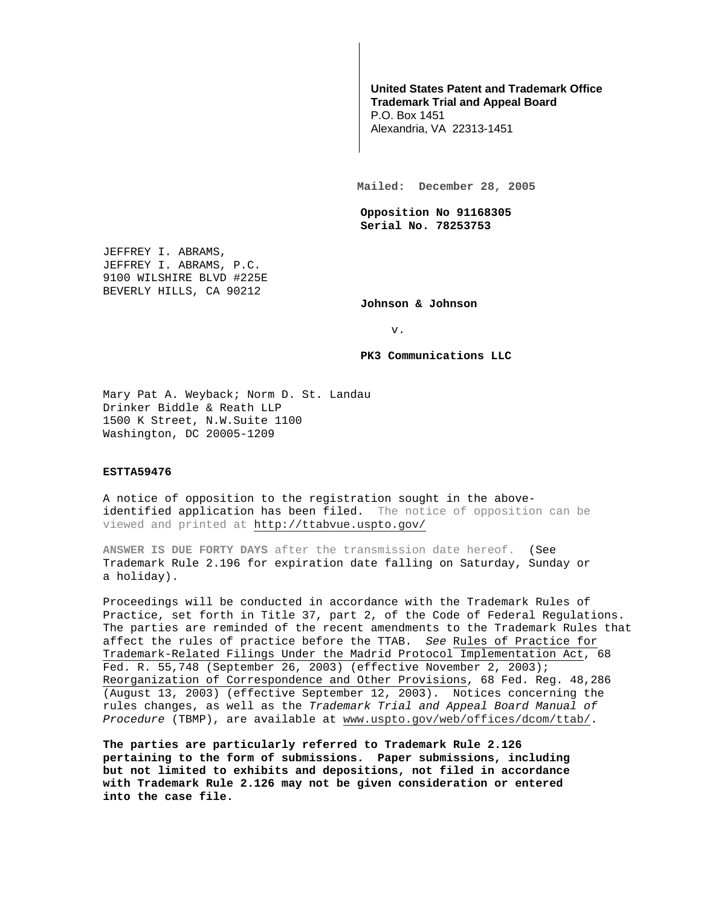## **United States Patent and Trademark Office Trademark Trial and Appeal Board**

P.O. Box 1451 Alexandria, VA 22313-1451

**Mailed: December 28, 2005** 

**Opposition No 91168305 Serial No. 78253753** 

JEFFREY I. ABRAMS, JEFFREY I. ABRAMS, P.C. 9100 WILSHIRE BLVD #225E BEVERLY HILLS, CA 90212

**Johnson & Johnson** 

v.

**PK3 Communications LLC** 

Mary Pat A. Weyback; Norm D. St. Landau Drinker Biddle & Reath LLP 1500 K Street, N.W.Suite 1100 Washington, DC 20005-1209

## **ESTTA59476**

A notice of opposition to the registration sought in the aboveidentified application has been filed. The notice of opposition can be viewed and printed at http://ttabvue.uspto.gov/

**ANSWER IS DUE FORTY DAYS** after the transmission date hereof. (See Trademark Rule 2.196 for expiration date falling on Saturday, Sunday or a holiday).

Proceedings will be conducted in accordance with the Trademark Rules of Practice, set forth in Title 37, part 2, of the Code of Federal Regulations. The parties are reminded of the recent amendments to the Trademark Rules that affect the rules of practice before the TTAB. See Rules of Practice for Trademark-Related Filings Under the Madrid Protocol Implementation Act, 68 Fed. R. 55,748 (September 26, 2003) (effective November 2, 2003); Reorganization of Correspondence and Other Provisions, 68 Fed. Reg. 48,286 (August 13, 2003) (effective September 12, 2003). Notices concerning the rules changes, as well as the Trademark Trial and Appeal Board Manual of Procedure (TBMP), are available at www.uspto.gov/web/offices/dcom/ttab/.

**The parties are particularly referred to Trademark Rule 2.126 pertaining to the form of submissions. Paper submissions, including but not limited to exhibits and depositions, not filed in accordance with Trademark Rule 2.126 may not be given consideration or entered into the case file.**